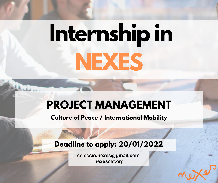# **Internship in NEXES**

## **PROJECT MANAGEMENT**

**Culture of Peace / International Mobility**

## **Deadline to apply: 20/01/2022**

**[seleccio.nexes@gmail.com](mailto:seleccio.nexes@gmail.com) [nexescat.or](mailto:seleccio.nexes@gmail.com)**g